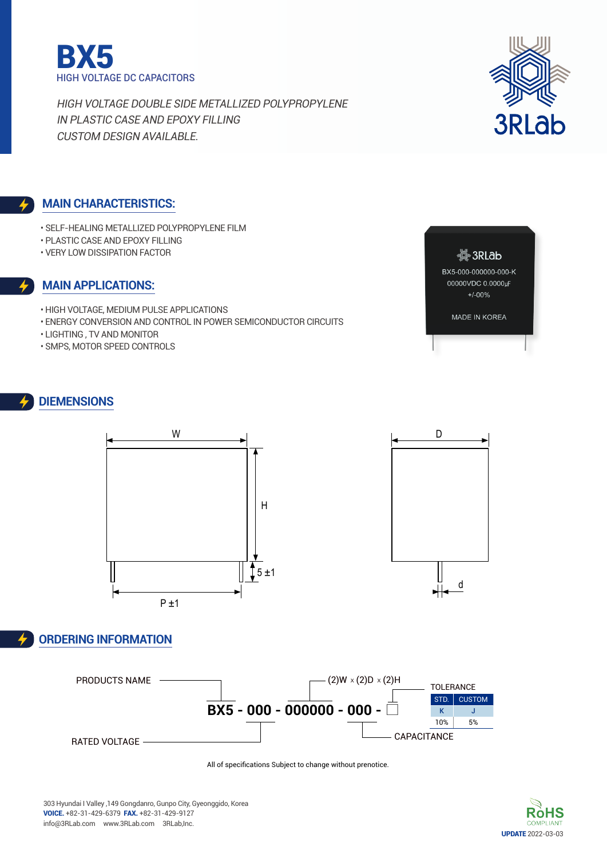



#### **Main characteristics:**

- Self-Healing Metallized Polypropylene Film
- Plastic case and Epoxy filling
- Very low dissipation factor

#### **Main applications:**

- High voltage, Medium pulse applications
- Energy conversion and control in power semiconductor circuits
- Lighting , Tv and Monitor
- SMPS, Motor speed controls



MADE IN KOREA

# **DIEMENSIONs**



#### **Ordering Information**





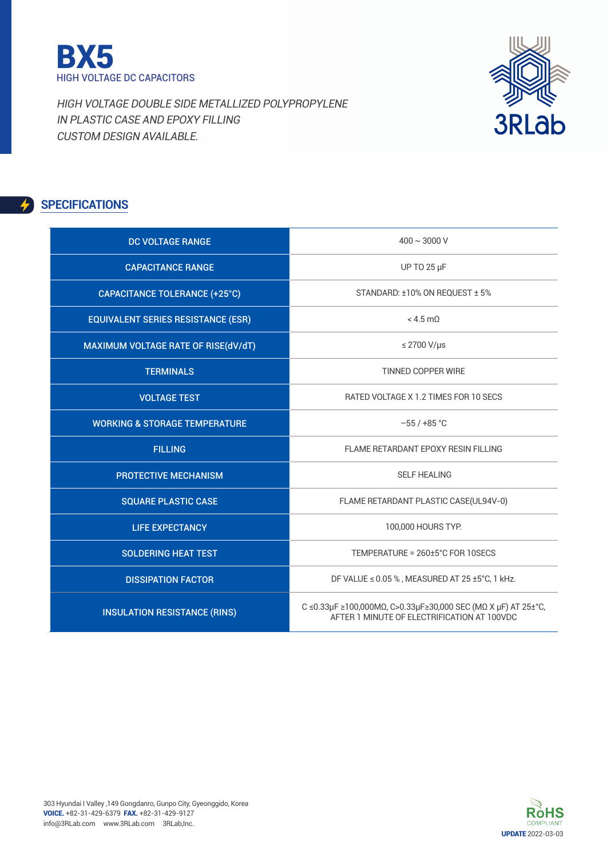

3RLab

High Voltage Double side Metallized Polypropylene in Plastic case and epoxy filling Custom Design available.

## **SPECIFICATIONS**

| DC VOLTAGE RANGE                          | $400 \sim 3000$ V                                                                                            |
|-------------------------------------------|--------------------------------------------------------------------------------------------------------------|
| <b>CAPACITANCE RANGE</b>                  | UP TO 25 µF                                                                                                  |
| <b>CAPACITANCE TOLERANCE (+25°C)</b>      | STANDARD: ±10% ON REQUEST ± 5%                                                                               |
| <b>EQUIVALENT SERIES RESISTANCE (ESR)</b> | $< 4.5$ m $0$                                                                                                |
| MAXIMUM VOLTAGE RATE OF RISE(dV/dT)       | $\leq$ 2700 V/µs                                                                                             |
| <b>TERMINALS</b>                          | <b>TINNED COPPER WIRE</b>                                                                                    |
| <b>VOLTAGE TEST</b>                       | RATED VOLTAGE X 1.2 TIMES FOR 10 SECS                                                                        |
| <b>WORKING &amp; STORAGE TEMPERATURE</b>  | $-55/+85$ °C                                                                                                 |
| <b>FILLING</b>                            | FLAME RETARDANT EPOXY RESIN FILLING                                                                          |
| <b>PROTECTIVE MECHANISM</b>               | <b>SELF HEALING</b>                                                                                          |
| <b>SQUARE PLASTIC CASE</b>                | FLAME RETARDANT PLASTIC CASE(UL94V-0)                                                                        |
| <b>LIFE EXPECTANCY</b>                    | 100,000 HOURS TYP.                                                                                           |
| <b>SOLDERING HEAT TEST</b>                | TEMPERATURE = 260±5°C FOR 10SECS                                                                             |
| <b>DISSIPATION FACTOR</b>                 | DF VALUE $\leq$ 0.05 %, MEASURED AT 25 ±5°C, 1 kHz.                                                          |
| <b>INSULATION RESISTANCE (RINS)</b>       | C ≤0.33μF ≥100,000MΩ, C>0.33μF≥30,000 SEC (ΜΩ Χ μF) AT 25±°C,<br>AFTER 1 MINUTE OF ELECTRIFICATION AT 100VDC |

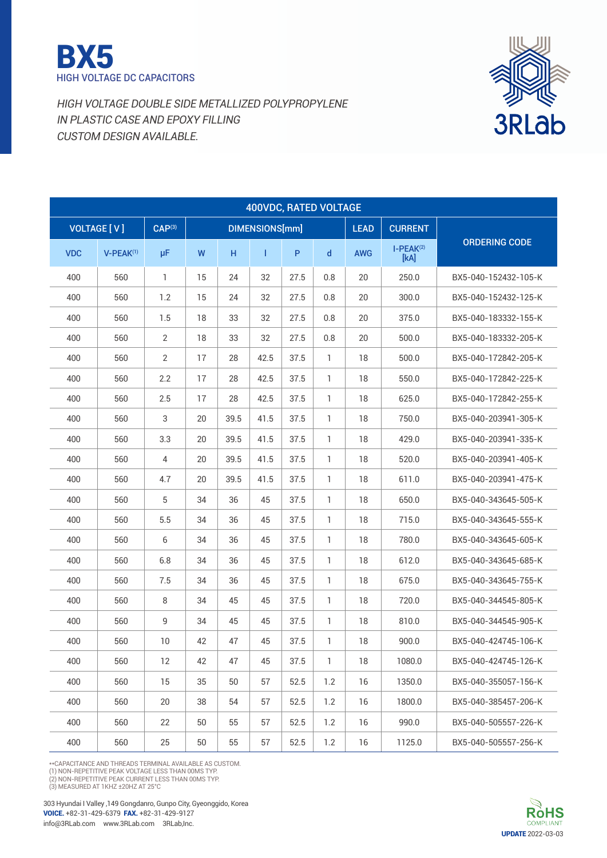



|            |                    |                    |    |      | 400VDC, RATED VOLTAGE |      |              |             |                     |                      |
|------------|--------------------|--------------------|----|------|-----------------------|------|--------------|-------------|---------------------|----------------------|
|            | <b>VOLTAGE [V]</b> | CAP <sup>(3)</sup> |    |      | DIMENSIONS[mm]        |      |              | <b>LEAD</b> | <b>CURRENT</b>      |                      |
| <b>VDC</b> | $V-PEAK^{(1)}$     | μF                 | W  | н    | T                     | P    | $\mathsf{d}$ | <b>AWG</b>  | $I-PEAK(2)$<br>[kA] | <b>ORDERING CODE</b> |
| 400        | 560                | 1                  | 15 | 24   | 32                    | 27.5 | 0.8          | 20          | 250.0               | BX5-040-152432-105-K |
| 400        | 560                | 1.2                | 15 | 24   | 32                    | 27.5 | 0.8          | 20          | 300.0               | BX5-040-152432-125-K |
| 400        | 560                | 1.5                | 18 | 33   | 32                    | 27.5 | 0.8          | 20          | 375.0               | BX5-040-183332-155-K |
| 400        | 560                | $\overline{2}$     | 18 | 33   | 32                    | 27.5 | 0.8          | 20          | 500.0               | BX5-040-183332-205-K |
| 400        | 560                | 2                  | 17 | 28   | 42.5                  | 37.5 | 1            | 18          | 500.0               | BX5-040-172842-205-K |
| 400        | 560                | 2.2                | 17 | 28   | 42.5                  | 37.5 | $\mathbf{1}$ | 18          | 550.0               | BX5-040-172842-225-K |
| 400        | 560                | 2.5                | 17 | 28   | 42.5                  | 37.5 | $\mathbf{1}$ | 18          | 625.0               | BX5-040-172842-255-K |
| 400        | 560                | 3                  | 20 | 39.5 | 41.5                  | 37.5 | 1            | 18          | 750.0               | BX5-040-203941-305-K |
| 400        | 560                | 3.3                | 20 | 39.5 | 41.5                  | 37.5 | $\mathbf{1}$ | 18          | 429.0               | BX5-040-203941-335-K |
| 400        | 560                | 4                  | 20 | 39.5 | 41.5                  | 37.5 | $\mathbb{I}$ | 18          | 520.0               | BX5-040-203941-405-K |
| 400        | 560                | 4.7                | 20 | 39.5 | 41.5                  | 37.5 | 1            | 18          | 611.0               | BX5-040-203941-475-K |
| 400        | 560                | 5                  | 34 | 36   | 45                    | 37.5 | 1            | 18          | 650.0               | BX5-040-343645-505-K |
| 400        | 560                | 5.5                | 34 | 36   | 45                    | 37.5 | 1            | 18          | 715.0               | BX5-040-343645-555-K |
| 400        | 560                | 6                  | 34 | 36   | 45                    | 37.5 | 1            | 18          | 780.0               | BX5-040-343645-605-K |
| 400        | 560                | 6.8                | 34 | 36   | 45                    | 37.5 | 1            | 18          | 612.0               | BX5-040-343645-685-K |
| 400        | 560                | 7.5                | 34 | 36   | 45                    | 37.5 | 1            | 18          | 675.0               | BX5-040-343645-755-K |
| 400        | 560                | 8                  | 34 | 45   | 45                    | 37.5 | 1            | 18          | 720.0               | BX5-040-344545-805-K |
| 400        | 560                | 9                  | 34 | 45   | 45                    | 37.5 | 1            | 18          | 810.0               | BX5-040-344545-905-K |
| 400        | 560                | 10                 | 42 | 47   | 45                    | 37.5 | 1            | 18          | 900.0               | BX5-040-424745-106-K |
| 400        | 560                | 12                 | 42 | 47   | 45                    | 37.5 | 1            | 18          | 1080.0              | BX5-040-424745-126-K |
| 400        | 560                | 15                 | 35 | 50   | 57                    | 52.5 | 1.2          | 16          | 1350.0              | BX5-040-355057-156-K |
| 400        | 560                | 20                 | 38 | 54   | 57                    | 52.5 | 1.2          | 16          | 1800.0              | BX5-040-385457-206-K |
| 400        | 560                | 22                 | 50 | 55   | 57                    | 52.5 | 1.2          | 16          | 990.0               | BX5-040-505557-226-K |
| 400        | 560                | 25                 | 50 | 55   | 57                    | 52.5 | 1.2          | 16          | 1125.0              | BX5-040-505557-256-K |

\*\*CAPACITANCE AND THREADS TERMINAL AVAILABLE AS CUSTOM.<br>(1) NON-REPETITIVE PEAK VOLTAGE LESS THAN 00MS TYP.<br>(2) NON-REPETITIVE PEAK CURRENT LESS THAN 00MS TYP.<br>(3) MEASURED AT 1KHZ ±20HZ AT 25°C

303 Hyundai I Valley ,149 Gongdanro, Gunpo City, Gyeonggido, Korea voice. +82-31-429-6379 fax. +82-31-429-9127 info@3RLab.com www.3RLab.com 3RLab,Inc.

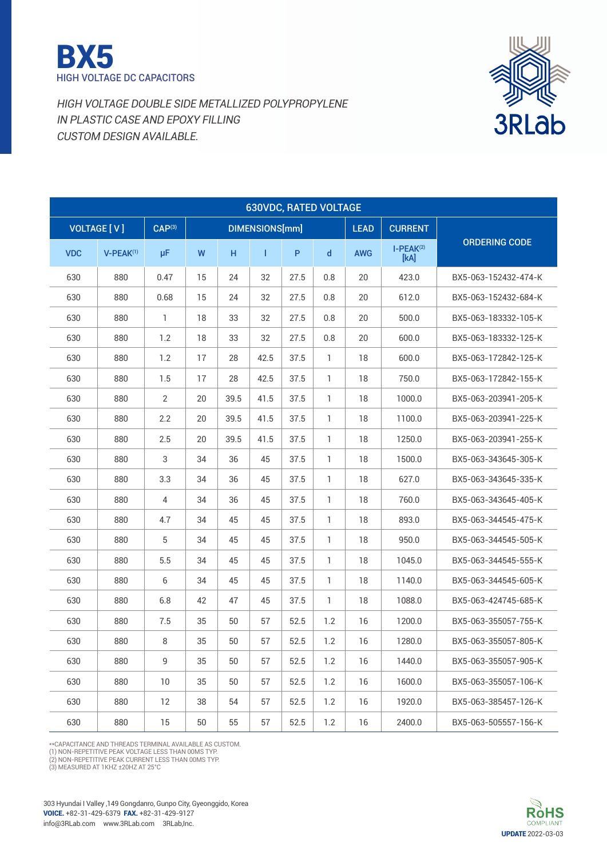



|            |                       |                    |    |      |                | <b>630VDC, RATED VOLTAGE</b> |              |             |                     |                      |
|------------|-----------------------|--------------------|----|------|----------------|------------------------------|--------------|-------------|---------------------|----------------------|
|            | <b>VOLTAGE [V]</b>    | CAP <sup>(3)</sup> |    |      | DIMENSIONS[mm] |                              |              | <b>LEAD</b> | <b>CURRENT</b>      |                      |
| <b>VDC</b> | V-PEAK <sup>(1)</sup> | μF                 | W  | н    | Т              | P                            | $\mathsf{d}$ | <b>AWG</b>  | $I-PEAK(2)$<br>[kA] | <b>ORDERING CODE</b> |
| 630        | 880                   | 0.47               | 15 | 24   | 32             | 27.5                         | 0.8          | 20          | 423.0               | BX5-063-152432-474-K |
| 630        | 880                   | 0.68               | 15 | 24   | 32             | 27.5                         | 0.8          | 20          | 612.0               | BX5-063-152432-684-K |
| 630        | 880                   | $\mathbf{1}$       | 18 | 33   | 32             | 27.5                         | 0.8          | 20          | 500.0               | BX5-063-183332-105-K |
| 630        | 880                   | 1.2                | 18 | 33   | 32             | 27.5                         | 0.8          | 20          | 600.0               | BX5-063-183332-125-K |
| 630        | 880                   | 1.2                | 17 | 28   | 42.5           | 37.5                         | 1            | 18          | 600.0               | BX5-063-172842-125-K |
| 630        | 880                   | 1.5                | 17 | 28   | 42.5           | 37.5                         | 1            | 18          | 750.0               | BX5-063-172842-155-K |
| 630        | 880                   | $\overline{2}$     | 20 | 39.5 | 41.5           | 37.5                         | $\mathbf{1}$ | 18          | 1000.0              | BX5-063-203941-205-K |
| 630        | 880                   | 2.2                | 20 | 39.5 | 41.5           | 37.5                         | $\mathbf{1}$ | 18          | 1100.0              | BX5-063-203941-225-K |
| 630        | 880                   | 2.5                | 20 | 39.5 | 41.5           | 37.5                         | $\mathbf{1}$ | 18          | 1250.0              | BX5-063-203941-255-K |
| 630        | 880                   | 3                  | 34 | 36   | 45             | 37.5                         | 1            | 18          | 1500.0              | BX5-063-343645-305-K |
| 630        | 880                   | 3.3                | 34 | 36   | 45             | 37.5                         | 1            | 18          | 627.0               | BX5-063-343645-335-K |
| 630        | 880                   | $\overline{4}$     | 34 | 36   | 45             | 37.5                         | $\mathbf{1}$ | 18          | 760.0               | BX5-063-343645-405-K |
| 630        | 880                   | 4.7                | 34 | 45   | 45             | 37.5                         | 1            | 18          | 893.0               | BX5-063-344545-475-K |
| 630        | 880                   | 5                  | 34 | 45   | 45             | 37.5                         | 1            | 18          | 950.0               | BX5-063-344545-505-K |
| 630        | 880                   | 5.5                | 34 | 45   | 45             | 37.5                         | 1            | 18          | 1045.0              | BX5-063-344545-555-K |
| 630        | 880                   | 6                  | 34 | 45   | 45             | 37.5                         | $\mathbf{1}$ | 18          | 1140.0              | BX5-063-344545-605-K |
| 630        | 880                   | 6.8                | 42 | 47   | 45             | 37.5                         | $\mathbf{1}$ | 18          | 1088.0              | BX5-063-424745-685-K |
| 630        | 880                   | 7.5                | 35 | 50   | 57             | 52.5                         | 1.2          | 16          | 1200.0              | BX5-063-355057-755-K |
| 630        | 880                   | 8                  | 35 | 50   | 57             | 52.5                         | 1.2          | 16          | 1280.0              | BX5-063-355057-805-K |
| 630        | 880                   | 9                  | 35 | 50   | 57             | 52.5                         | 1.2          | 16          | 1440.0              | BX5-063-355057-905-K |
| 630        | 880                   | 10                 | 35 | 50   | 57             | 52.5                         | 1.2          | 16          | 1600.0              | BX5-063-355057-106-K |
| 630        | 880                   | 12                 | 38 | 54   | 57             | 52.5                         | 1.2          | 16          | 1920.0              | BX5-063-385457-126-K |
| 630        | 880                   | 15                 | 50 | 55   | 57             | 52.5                         | 1.2          | 16          | 2400.0              | BX5-063-505557-156-K |

\*\*Capacitance and threads terminal available as custom.

(1) NON-REPETITIVE PEAK VOLTAGE LESS THAN 00MS TYP.<br>(2) NON-REPETITIVE PEAK CURRENT LESS THAN 00MS TYP.<br>(3) MEASURED AT 1 KHZ ±20HZ AT 25°C

303 Hyundai I Valley ,149 Gongdanro, Gunpo City, Gyeonggido, Korea voice. +82-31-429-6379 fax. +82-31-429-9127 info@3RLab.com www.3RLab.com 3RLab,Inc.

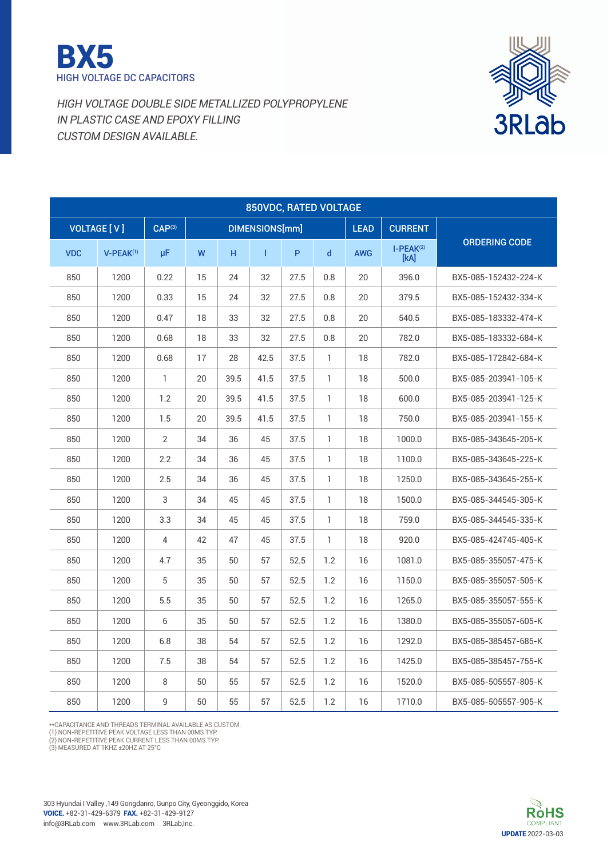



|            | 850VDC, RATED VOLTAGE |                    |    |      |                |      |              |             |                     |                      |  |  |  |  |
|------------|-----------------------|--------------------|----|------|----------------|------|--------------|-------------|---------------------|----------------------|--|--|--|--|
|            | <b>VOLTAGE [V]</b>    | CAP <sup>(3)</sup> |    |      | DIMENSIONS[mm] |      |              | <b>LEAD</b> | <b>CURRENT</b>      |                      |  |  |  |  |
| <b>VDC</b> | $V-PEAK^{(1)}$        | μF                 | W  | H.   | T              | P    | $\mathsf{d}$ | <b>AWG</b>  | $I-PEAK(2)$<br>[KA] | <b>ORDERING CODE</b> |  |  |  |  |
| 850        | 1200                  | 0.22               | 15 | 24   | 32             | 27.5 | 0.8          | 20          | 396.0               | BX5-085-152432-224-K |  |  |  |  |
| 850        | 1200                  | 0.33               | 15 | 24   | 32             | 27.5 | 0.8          | 20          | 379.5               | BX5-085-152432-334-K |  |  |  |  |
| 850        | 1200                  | 0.47               | 18 | 33   | 32             | 27.5 | 0.8          | 20          | 540.5               | BX5-085-183332-474-K |  |  |  |  |
| 850        | 1200                  | 0.68               | 18 | 33   | 32             | 27.5 | 0.8          | 20          | 782.0               | BX5-085-183332-684-K |  |  |  |  |
| 850        | 1200                  | 0.68               | 17 | 28   | 42.5           | 37.5 | 1            | 18          | 782.0               | BX5-085-172842-684-K |  |  |  |  |
| 850        | 1200                  | $\mathbf{1}$       | 20 | 39.5 | 41.5           | 37.5 | $\mathbf{1}$ | 18          | 500.0               | BX5-085-203941-105-K |  |  |  |  |
| 850        | 1200                  | 1.2                | 20 | 39.5 | 41.5           | 37.5 | 1            | 18          | 600.0               | BX5-085-203941-125-K |  |  |  |  |
| 850        | 1200                  | 1.5                | 20 | 39.5 | 41.5           | 37.5 | $\mathbf{1}$ | 18          | 750.0               | BX5-085-203941-155-K |  |  |  |  |
| 850        | 1200                  | $\overline{2}$     | 34 | 36   | 45             | 37.5 | 1            | 18          | 1000.0              | BX5-085-343645-205-K |  |  |  |  |
| 850        | 1200                  | 2.2                | 34 | 36   | 45             | 37.5 | 1            | 18          | 1100.0              | BX5-085-343645-225-K |  |  |  |  |
| 850        | 1200                  | 2.5                | 34 | 36   | 45             | 37.5 | 1            | 18          | 1250.0              | BX5-085-343645-255-K |  |  |  |  |
| 850        | 1200                  | 3                  | 34 | 45   | 45             | 37.5 | 1            | 18          | 1500.0              | BX5-085-344545-305-K |  |  |  |  |
| 850        | 1200                  | 3.3                | 34 | 45   | 45             | 37.5 | 1            | 18          | 759.0               | BX5-085-344545-335-K |  |  |  |  |
| 850        | 1200                  | $\overline{4}$     | 42 | 47   | 45             | 37.5 | 1            | 18          | 920.0               | BX5-085-424745-405-K |  |  |  |  |
| 850        | 1200                  | 4.7                | 35 | 50   | 57             | 52.5 | 1.2          | 16          | 1081.0              | BX5-085-355057-475-K |  |  |  |  |
| 850        | 1200                  | 5                  | 35 | 50   | 57             | 52.5 | 1.2          | 16          | 1150.0              | BX5-085-355057-505-K |  |  |  |  |
| 850        | 1200                  | 5.5                | 35 | 50   | 57             | 52.5 | 1.2          | 16          | 1265.0              | BX5-085-355057-555-K |  |  |  |  |
| 850        | 1200                  | 6                  | 35 | 50   | 57             | 52.5 | 1.2          | 16          | 1380.0              | BX5-085-355057-605-K |  |  |  |  |
| 850        | 1200                  | 6.8                | 38 | 54   | 57             | 52.5 | 1.2          | 16          | 1292.0              | BX5-085-385457-685-K |  |  |  |  |
| 850        | 1200                  | 7.5                | 38 | 54   | 57             | 52.5 | 1.2          | 16          | 1425.0              | BX5-085-385457-755-K |  |  |  |  |
| 850        | 1200                  | 8                  | 50 | 55   | 57             | 52.5 | 1.2          | 16          | 1520.0              | BX5-085-505557-805-K |  |  |  |  |
| 850        | 1200                  | 9                  | 50 | 55   | 57             | 52.5 | 1.2          | 16          | 1710.0              | BX5-085-505557-905-K |  |  |  |  |

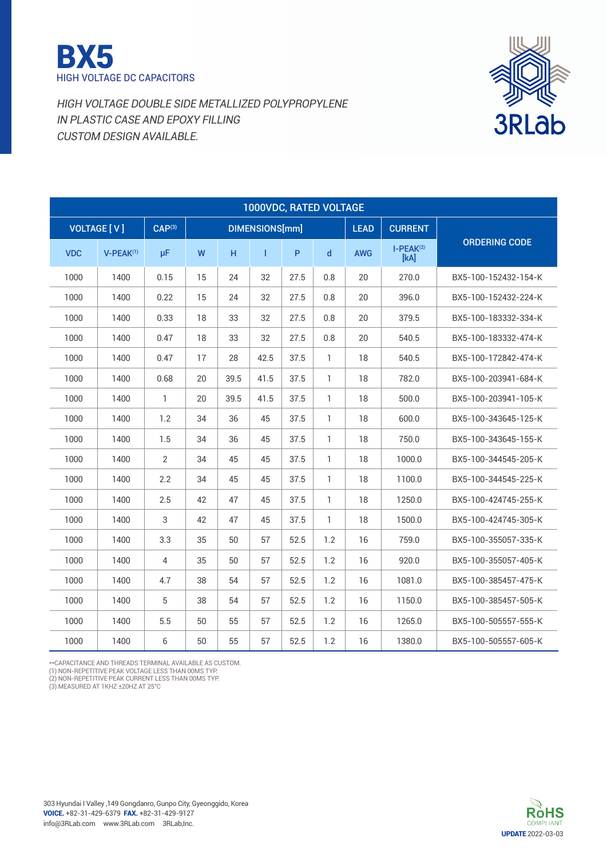



|            | 1000VDC, RATED VOLTAGE |                    |    |      |                |      |              |             |                     |                      |  |  |  |  |
|------------|------------------------|--------------------|----|------|----------------|------|--------------|-------------|---------------------|----------------------|--|--|--|--|
|            | <b>VOLTAGE [V]</b>     | CAP <sup>(3)</sup> |    |      | DIMENSIONS[mm] |      |              | <b>LEAD</b> | <b>CURRENT</b>      |                      |  |  |  |  |
| <b>VDC</b> | $V-PEAK^{(1)}$         | μF                 | W  | H    | т              | P    | $\mathsf{d}$ | <b>AWG</b>  | $I-PEAK(2)$<br>[kA] | <b>ORDERING CODE</b> |  |  |  |  |
| 1000       | 1400                   | 0.15               | 15 | 24   | 32             | 27.5 | 0.8          | 20          | 270.0               | BX5-100-152432-154-K |  |  |  |  |
| 1000       | 1400                   | 0.22               | 15 | 24   | 32             | 27.5 | 0.8          | 20          | 396.0               | BX5-100-152432-224-K |  |  |  |  |
| 1000       | 1400                   | 0.33               | 18 | 33   | 32             | 27.5 | 0.8          | 20          | 379.5               | BX5-100-183332-334-K |  |  |  |  |
| 1000       | 1400                   | 0.47               | 18 | 33   | 32             | 27.5 | 0.8          | 20          | 540.5               | BX5-100-183332-474-K |  |  |  |  |
| 1000       | 1400                   | 0.47               | 17 | 28   | 42.5           | 37.5 | 1            | 18          | 540.5               | BX5-100-172842-474-K |  |  |  |  |
| 1000       | 1400                   | 0.68               | 20 | 39.5 | 41.5           | 37.5 | $\mathbf{1}$ | 18          | 782.0               | BX5-100-203941-684-K |  |  |  |  |
| 1000       | 1400                   | 1                  | 20 | 39.5 | 41.5           | 37.5 | 1            | 18          | 500.0               | BX5-100-203941-105-K |  |  |  |  |
| 1000       | 1400                   | 1.2                | 34 | 36   | 45             | 37.5 | $\mathbf{1}$ | 18          | 600.0               | BX5-100-343645-125-K |  |  |  |  |
| 1000       | 1400                   | 1.5                | 34 | 36   | 45             | 37.5 | $\mathbb{1}$ | 18          | 750.0               | BX5-100-343645-155-K |  |  |  |  |
| 1000       | 1400                   | 2                  | 34 | 45   | 45             | 37.5 | 1            | 18          | 1000.0              | BX5-100-344545-205-K |  |  |  |  |
| 1000       | 1400                   | 2.2                | 34 | 45   | 45             | 37.5 | 1            | 18          | 1100.0              | BX5-100-344545-225-K |  |  |  |  |
| 1000       | 1400                   | 2.5                | 42 | 47   | 45             | 37.5 | $\mathbf{1}$ | 18          | 1250.0              | BX5-100-424745-255-K |  |  |  |  |
| 1000       | 1400                   | 3                  | 42 | 47   | 45             | 37.5 | 1            | 18          | 1500.0              | BX5-100-424745-305-K |  |  |  |  |
| 1000       | 1400                   | 3.3                | 35 | 50   | 57             | 52.5 | 1.2          | 16          | 759.0               | BX5-100-355057-335-K |  |  |  |  |
| 1000       | 1400                   | 4                  | 35 | 50   | 57             | 52.5 | 1.2          | 16          | 920.0               | BX5-100-355057-405-K |  |  |  |  |
| 1000       | 1400                   | 4.7                | 38 | 54   | 57             | 52.5 | 1.2          | 16          | 1081.0              | BX5-100-385457-475-K |  |  |  |  |
| 1000       | 1400                   | 5                  | 38 | 54   | 57             | 52.5 | 1.2          | 16          | 1150.0              | BX5-100-385457-505-K |  |  |  |  |
| 1000       | 1400                   | 5.5                | 50 | 55   | 57             | 52.5 | 1.2          | 16          | 1265.0              | BX5-100-505557-555-K |  |  |  |  |
| 1000       | 1400                   | 6                  | 50 | 55   | 57             | 52.5 | 1.2          | 16          | 1380.0              | BX5-100-505557-605-K |  |  |  |  |

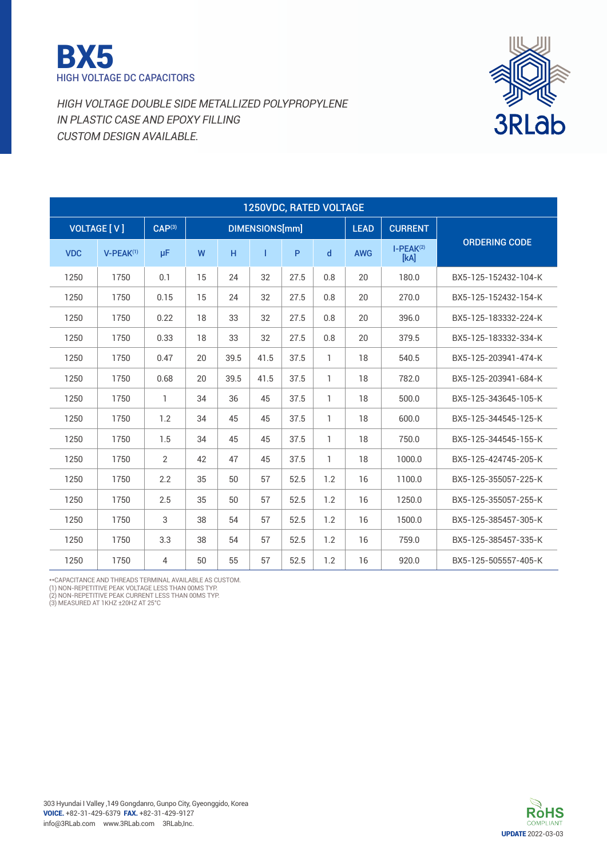



|            | 1250VDC, RATED VOLTAGE |                    |    |      |                |              |     |             |                     |                      |  |  |  |  |
|------------|------------------------|--------------------|----|------|----------------|--------------|-----|-------------|---------------------|----------------------|--|--|--|--|
|            | <b>VOLTAGE [ V ]</b>   | CAP <sup>(3)</sup> |    |      | DIMENSIONS[mm] |              |     | <b>LEAD</b> | <b>CURRENT</b>      |                      |  |  |  |  |
| <b>VDC</b> | $V-PEAK^{(1)}$         | μF                 | W  | H    | Т              | $\mathsf{P}$ | d   | <b>AWG</b>  | $I-PEAK(2)$<br>[kA] | <b>ORDERING CODE</b> |  |  |  |  |
| 1250       | 1750                   | 0.1                | 15 | 24   | 32             | 27.5         | 0.8 | 20          | 180.0               | BX5-125-152432-104-K |  |  |  |  |
| 1250       | 1750                   | 0.15               | 15 | 24   | 32             | 27.5         | 0.8 | 20          | 270.0               | BX5-125-152432-154-K |  |  |  |  |
| 1250       | 1750                   | 0.22               | 18 | 33   | 32             | 27.5         | 0.8 | 20          | 396.0               | BX5-125-183332-224-K |  |  |  |  |
| 1250       | 1750                   | 0.33               | 18 | 33   | 32             | 27.5         | 0.8 | 20          | 379.5               | BX5-125-183332-334-K |  |  |  |  |
| 1250       | 1750                   | 0.47               | 20 | 39.5 | 41.5           | 37.5         | 1   | 18          | 540.5               | BX5-125-203941-474-K |  |  |  |  |
| 1250       | 1750                   | 0.68               | 20 | 39.5 | 41.5           | 37.5         | 1   | 18          | 782.0               | BX5-125-203941-684-K |  |  |  |  |
| 1250       | 1750                   | 1                  | 34 | 36   | 45             | 37.5         | 1   | 18          | 500.0               | BX5-125-343645-105-K |  |  |  |  |
| 1250       | 1750                   | 1.2                | 34 | 45   | 45             | 37.5         | 1   | 18          | 600.0               | BX5-125-344545-125-K |  |  |  |  |
| 1250       | 1750                   | 1.5                | 34 | 45   | 45             | 37.5         | 1   | 18          | 750.0               | BX5-125-344545-155-K |  |  |  |  |
| 1250       | 1750                   | 2                  | 42 | 47   | 45             | 37.5         | 1   | 18          | 1000.0              | BX5-125-424745-205-K |  |  |  |  |
| 1250       | 1750                   | 2.2                | 35 | 50   | 57             | 52.5         | 1.2 | 16          | 1100.0              | BX5-125-355057-225-K |  |  |  |  |
| 1250       | 1750                   | 2.5                | 35 | 50   | 57             | 52.5         | 1.2 | 16          | 1250.0              | BX5-125-355057-255-K |  |  |  |  |
| 1250       | 1750                   | 3                  | 38 | 54   | 57             | 52.5         | 1.2 | 16          | 1500.0              | BX5-125-385457-305-K |  |  |  |  |
| 1250       | 1750                   | 3.3                | 38 | 54   | 57             | 52.5         | 1.2 | 16          | 759.0               | BX5-125-385457-335-K |  |  |  |  |
| 1250       | 1750                   | 4                  | 50 | 55   | 57             | 52.5         | 1.2 | 16          | 920.0               | BX5-125-505557-405-K |  |  |  |  |

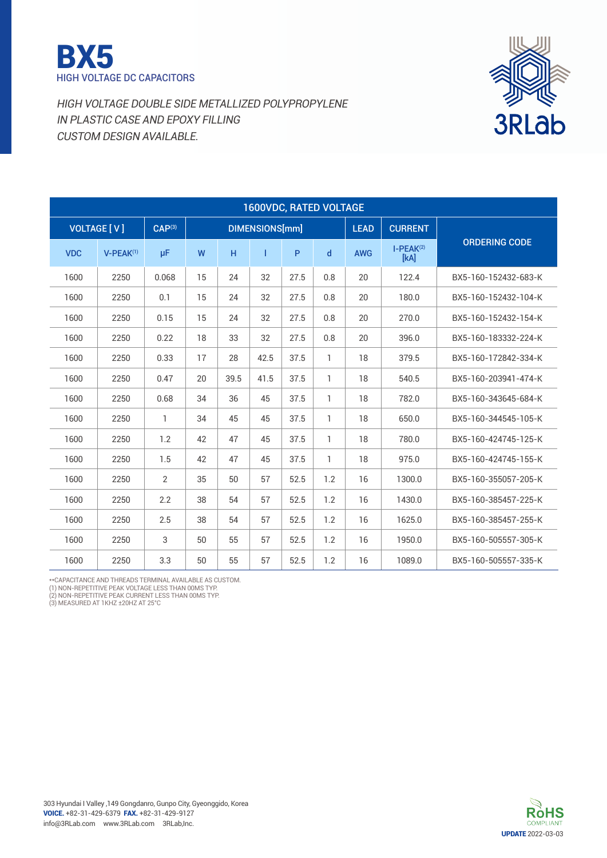



| <b>1600VDC, RATED VOLTAGE</b> |                    |                    |    |      |                       |              |     |             |                     |                      |  |  |  |
|-------------------------------|--------------------|--------------------|----|------|-----------------------|--------------|-----|-------------|---------------------|----------------------|--|--|--|
|                               | <b>VOLTAGE [V]</b> | CAP <sup>(3)</sup> |    |      | <b>DIMENSIONS[mm]</b> |              |     | <b>LEAD</b> | <b>CURRENT</b>      |                      |  |  |  |
| <b>VDC</b>                    | $V-PEAK^{(1)}$     | μF                 | W  | H    | Т                     | $\mathsf{P}$ | d   | <b>AWG</b>  | $I-PEAK(2)$<br>[kA] | <b>ORDERING CODE</b> |  |  |  |
| 1600                          | 2250               | 0.068              | 15 | 24   | 32                    | 27.5         | 0.8 | 20          | 122.4               | BX5-160-152432-683-K |  |  |  |
| 1600                          | 2250               | 0.1                | 15 | 24   | 32                    | 27.5         | 0.8 | 20          | 180.0               | BX5-160-152432-104-K |  |  |  |
| 1600                          | 2250               | 0.15               | 15 | 24   | 32                    | 27.5         | 0.8 | 20          | 270.0               | BX5-160-152432-154-K |  |  |  |
| 1600                          | 2250               | 0.22               | 18 | 33   | 32                    | 27.5         | 0.8 | 20          | 396.0               | BX5-160-183332-224-K |  |  |  |
| 1600                          | 2250               | 0.33               | 17 | 28   | 42.5                  | 37.5         | 1   | 18          | 379.5               | BX5-160-172842-334-K |  |  |  |
| 1600                          | 2250               | 0.47               | 20 | 39.5 | 41.5                  | 37.5         | 1   | 18          | 540.5               | BX5-160-203941-474-K |  |  |  |
| 1600                          | 2250               | 0.68               | 34 | 36   | 45                    | 37.5         | 1   | 18          | 782.0               | BX5-160-343645-684-K |  |  |  |
| 1600                          | 2250               | $\mathbf{1}$       | 34 | 45   | 45                    | 37.5         | 1   | 18          | 650.0               | BX5-160-344545-105-K |  |  |  |
| 1600                          | 2250               | 1.2                | 42 | 47   | 45                    | 37.5         | 1   | 18          | 780.0               | BX5-160-424745-125-K |  |  |  |
| 1600                          | 2250               | 1.5                | 42 | 47   | 45                    | 37.5         | 1   | 18          | 975.0               | BX5-160-424745-155-K |  |  |  |
| 1600                          | 2250               | $\overline{2}$     | 35 | 50   | 57                    | 52.5         | 1.2 | 16          | 1300.0              | BX5-160-355057-205-K |  |  |  |
| 1600                          | 2250               | 2.2                | 38 | 54   | 57                    | 52.5         | 1.2 | 16          | 1430.0              | BX5-160-385457-225-K |  |  |  |
| 1600                          | 2250               | 2.5                | 38 | 54   | 57                    | 52.5         | 1.2 | 16          | 1625.0              | BX5-160-385457-255-K |  |  |  |
| 1600                          | 2250               | 3                  | 50 | 55   | 57                    | 52.5         | 1.2 | 16          | 1950.0              | BX5-160-505557-305-K |  |  |  |
| 1600                          | 2250               | 3.3                | 50 | 55   | 57                    | 52.5         | 1.2 | 16          | 1089.0              | BX5-160-505557-335-K |  |  |  |

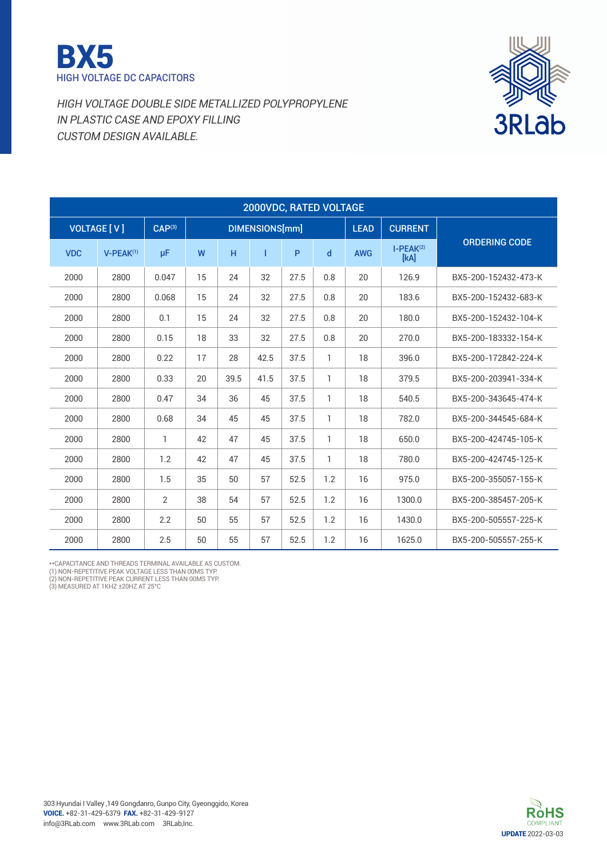



| 2000VDC, RATED VOLTAGE |                      |             |    |      |                |      |     |             |                     |                      |  |  |  |
|------------------------|----------------------|-------------|----|------|----------------|------|-----|-------------|---------------------|----------------------|--|--|--|
|                        | <b>VOLTAGE [ V ]</b> | $CAP^{(3)}$ |    |      | DIMENSIONS[mm] |      |     | <b>LEAD</b> | <b>CURRENT</b>      |                      |  |  |  |
| <b>VDC</b>             | $V-PEAK(1)$          | μF          | W  | H    | Т              | P    | d   | <b>AWG</b>  | $I-PEAK(2)$<br>[kA] | <b>ORDERING CODE</b> |  |  |  |
| 2000                   | 2800                 | 0.047       | 15 | 24   | 32             | 27.5 | 0.8 | 20          | 126.9               | BX5-200-152432-473-K |  |  |  |
| 2000                   | 2800                 | 0.068       | 15 | 24   | 32             | 27.5 | 0.8 | 20          | 183.6               | BX5-200-152432-683-K |  |  |  |
| 2000                   | 2800                 | 0.1         | 15 | 24   | 32             | 27.5 | 0.8 | 20          | 180.0               | BX5-200-152432-104-K |  |  |  |
| 2000                   | 2800                 | 0.15        | 18 | 33   | 32             | 27.5 | 0.8 | 20          | 270.0               | BX5-200-183332-154-K |  |  |  |
| 2000                   | 2800                 | 0.22        | 17 | 28   | 42.5           | 37.5 | 1   | 18          | 396.0               | BX5-200-172842-224-K |  |  |  |
| 2000                   | 2800                 | 0.33        | 20 | 39.5 | 41.5           | 37.5 | 1   | 18          | 379.5               | BX5-200-203941-334-K |  |  |  |
| 2000                   | 2800                 | 0.47        | 34 | 36   | 45             | 37.5 | 1   | 18          | 540.5               | BX5-200-343645-474-K |  |  |  |
| 2000                   | 2800                 | 0.68        | 34 | 45   | 45             | 37.5 | 1   | 18          | 782.0               | BX5-200-344545-684-K |  |  |  |
| 2000                   | 2800                 | 1           | 42 | 47   | 45             | 37.5 | 1   | 18          | 650.0               | BX5-200-424745-105-K |  |  |  |
| 2000                   | 2800                 | 1.2         | 42 | 47   | 45             | 37.5 | 1   | 18          | 780.0               | BX5-200-424745-125-K |  |  |  |
| 2000                   | 2800                 | 1.5         | 35 | 50   | 57             | 52.5 | 1.2 | 16          | 975.0               | BX5-200-355057-155-K |  |  |  |
| 2000                   | 2800                 | 2           | 38 | 54   | 57             | 52.5 | 1.2 | 16          | 1300.0              | BX5-200-385457-205-K |  |  |  |
| 2000                   | 2800                 | 2.2         | 50 | 55   | 57             | 52.5 | 1.2 | 16          | 1430.0              | BX5-200-505557-225-K |  |  |  |
| 2000                   | 2800                 | 2.5         | 50 | 55   | 57             | 52.5 | 1.2 | 16          | 1625.0              | BX5-200-505557-255-K |  |  |  |

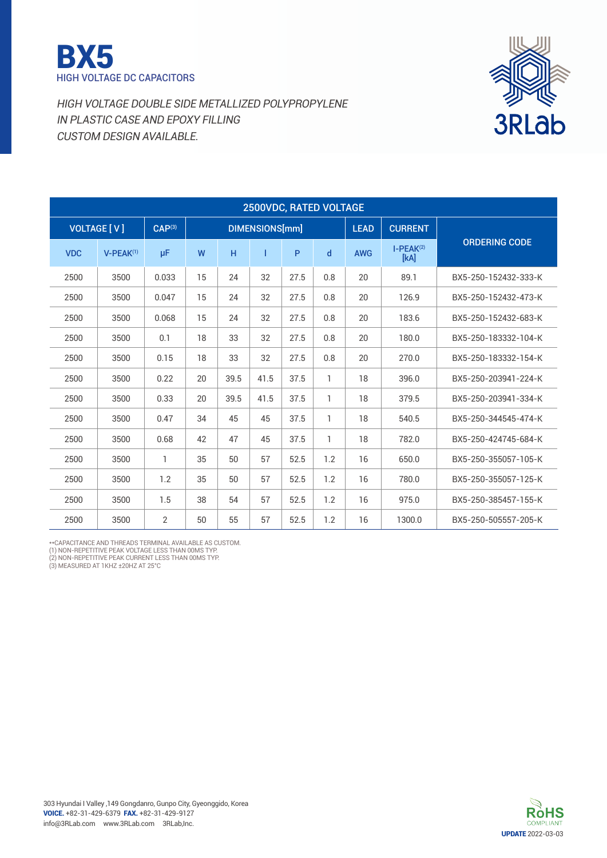



| 2500VDC, RATED VOLTAGE |                      |                    |    |      |                |      |     |             |                     |                      |  |  |  |
|------------------------|----------------------|--------------------|----|------|----------------|------|-----|-------------|---------------------|----------------------|--|--|--|
|                        | <b>VOLTAGE [ V ]</b> | CAP <sup>(3)</sup> |    |      | DIMENSIONS[mm] |      |     | <b>LEAD</b> | <b>CURRENT</b>      |                      |  |  |  |
| <b>VDC</b>             | $V-PEAK^{(1)}$       | μF                 | W  | H    | T              | P    | d   | <b>AWG</b>  | $I-PEAK(2)$<br>[kA] | <b>ORDERING CODE</b> |  |  |  |
| 2500                   | 3500                 | 0.033              | 15 | 24   | 32             | 27.5 | 0.8 | 20          | 89.1                | BX5-250-152432-333-K |  |  |  |
| 2500                   | 3500                 | 0.047              | 15 | 24   | 32             | 27.5 | 0.8 | 20          | 126.9               | BX5-250-152432-473-K |  |  |  |
| 2500                   | 3500                 | 0.068              | 15 | 24   | 32             | 27.5 | 0.8 | 20          | 183.6               | BX5-250-152432-683-K |  |  |  |
| 2500                   | 3500                 | 0.1                | 18 | 33   | 32             | 27.5 | 0.8 | 20          | 180.0               | BX5-250-183332-104-K |  |  |  |
| 2500                   | 3500                 | 0.15               | 18 | 33   | 32             | 27.5 | 0.8 | 20          | 270.0               | BX5-250-183332-154-K |  |  |  |
| 2500                   | 3500                 | 0.22               | 20 | 39.5 | 41.5           | 37.5 | 1   | 18          | 396.0               | BX5-250-203941-224-K |  |  |  |
| 2500                   | 3500                 | 0.33               | 20 | 39.5 | 41.5           | 37.5 | 1   | 18          | 379.5               | BX5-250-203941-334-K |  |  |  |
| 2500                   | 3500                 | 0.47               | 34 | 45   | 45             | 37.5 | 1   | 18          | 540.5               | BX5-250-344545-474-K |  |  |  |
| 2500                   | 3500                 | 0.68               | 42 | 47   | 45             | 37.5 | 1   | 18          | 782.0               | BX5-250-424745-684-K |  |  |  |
| 2500                   | 3500                 | 1                  | 35 | 50   | 57             | 52.5 | 1.2 | 16          | 650.0               | BX5-250-355057-105-K |  |  |  |
| 2500                   | 3500                 | 1.2                | 35 | 50   | 57             | 52.5 | 1.2 | 16          | 780.0               | BX5-250-355057-125-K |  |  |  |
| 2500                   | 3500                 | 1.5                | 38 | 54   | 57             | 52.5 | 1.2 | 16          | 975.0               | BX5-250-385457-155-K |  |  |  |
| 2500                   | 3500                 | $\overline{2}$     | 50 | 55   | 57             | 52.5 | 1.2 | 16          | 1300.0              | BX5-250-505557-205-K |  |  |  |